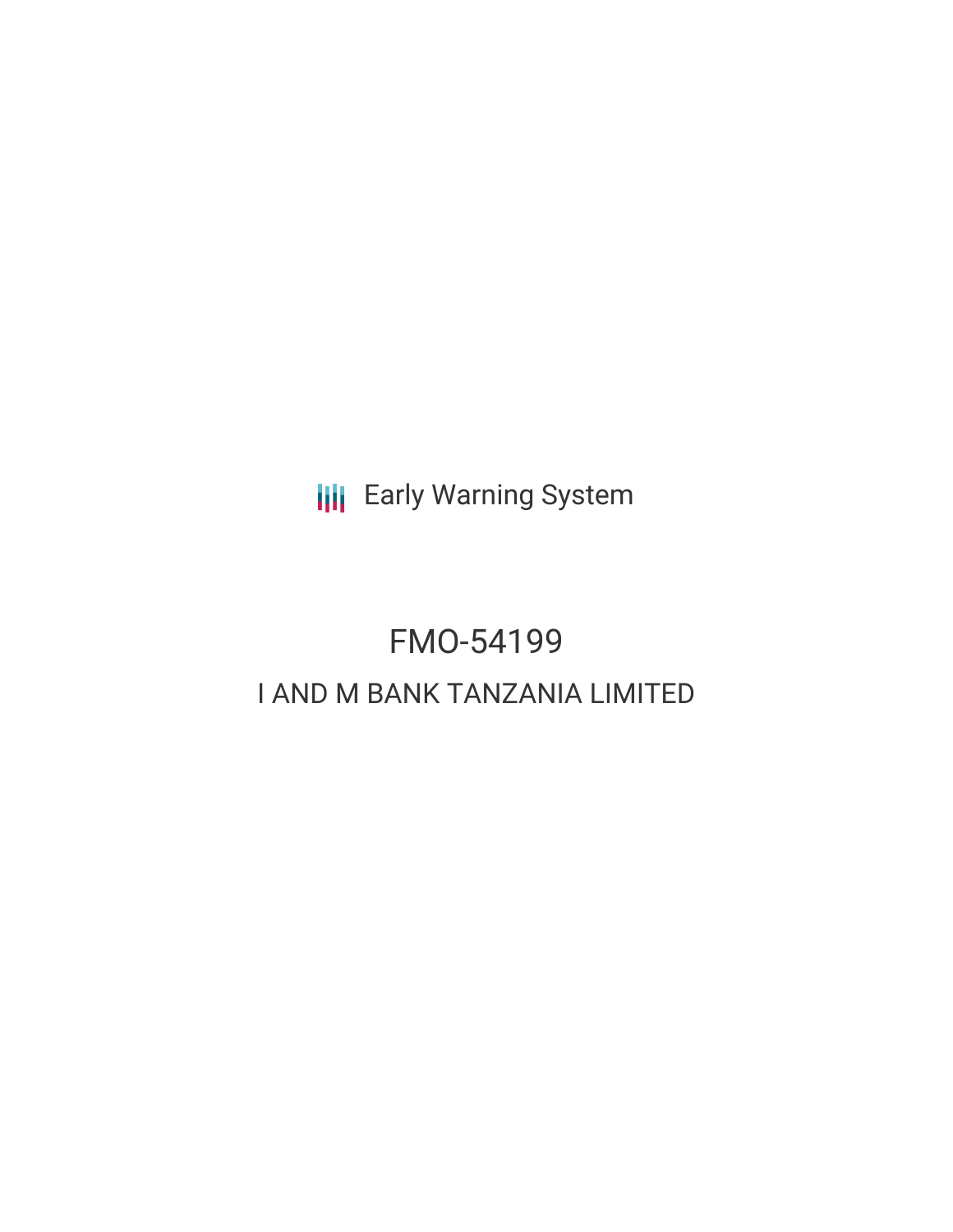**III** Early Warning System

# FMO-54199 I AND M BANK TANZANIA LIMITED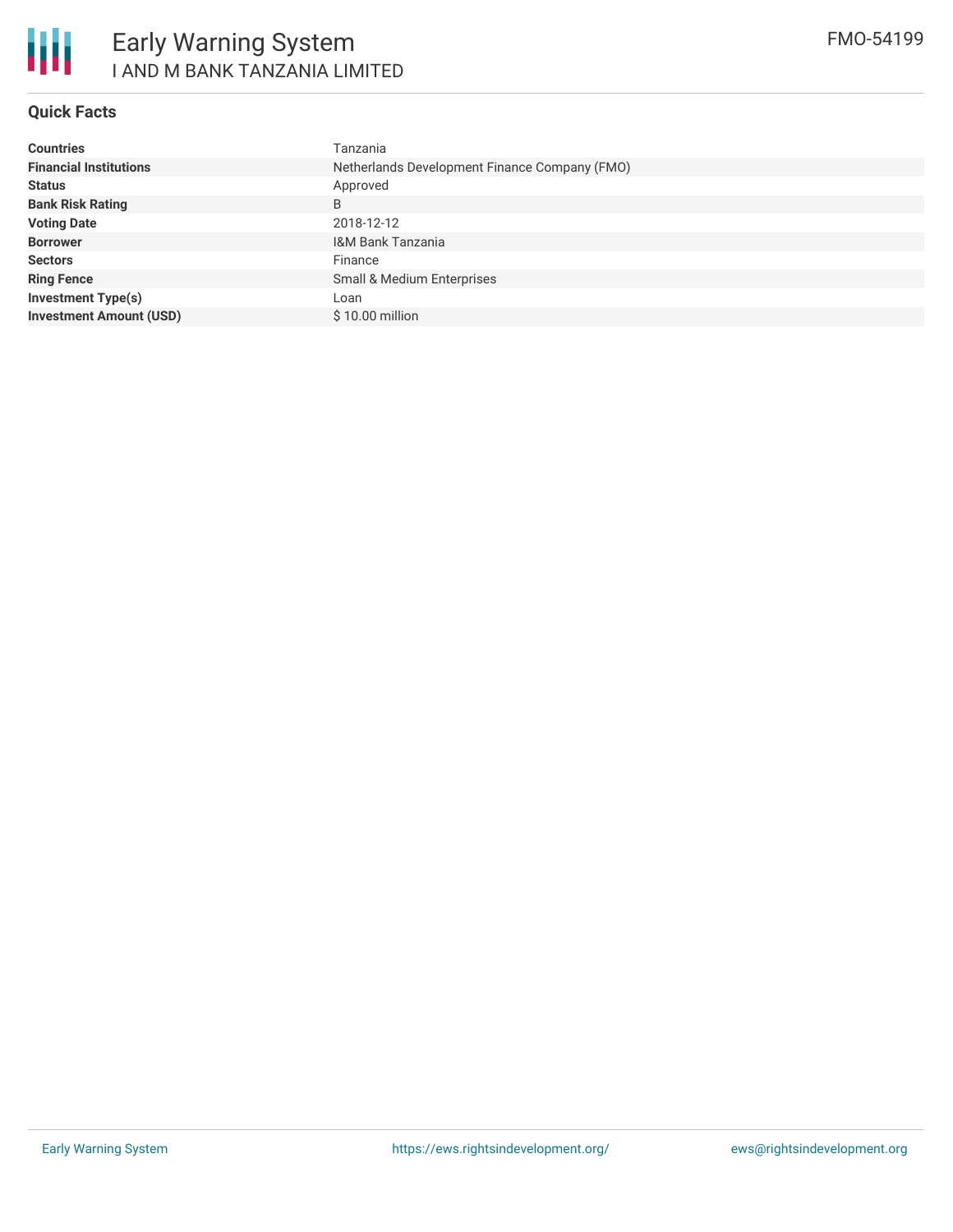

#### **Quick Facts**

| <b>Countries</b>               | Tanzania                                      |  |  |  |
|--------------------------------|-----------------------------------------------|--|--|--|
| <b>Financial Institutions</b>  | Netherlands Development Finance Company (FMO) |  |  |  |
| <b>Status</b>                  | Approved                                      |  |  |  |
| <b>Bank Risk Rating</b>        | B                                             |  |  |  |
| <b>Voting Date</b>             | 2018-12-12                                    |  |  |  |
| <b>Borrower</b>                | I&M Bank Tanzania                             |  |  |  |
| <b>Sectors</b>                 | Finance                                       |  |  |  |
| <b>Ring Fence</b>              | Small & Medium Enterprises                    |  |  |  |
| <b>Investment Type(s)</b>      | Loan                                          |  |  |  |
| <b>Investment Amount (USD)</b> | $$10.00$ million                              |  |  |  |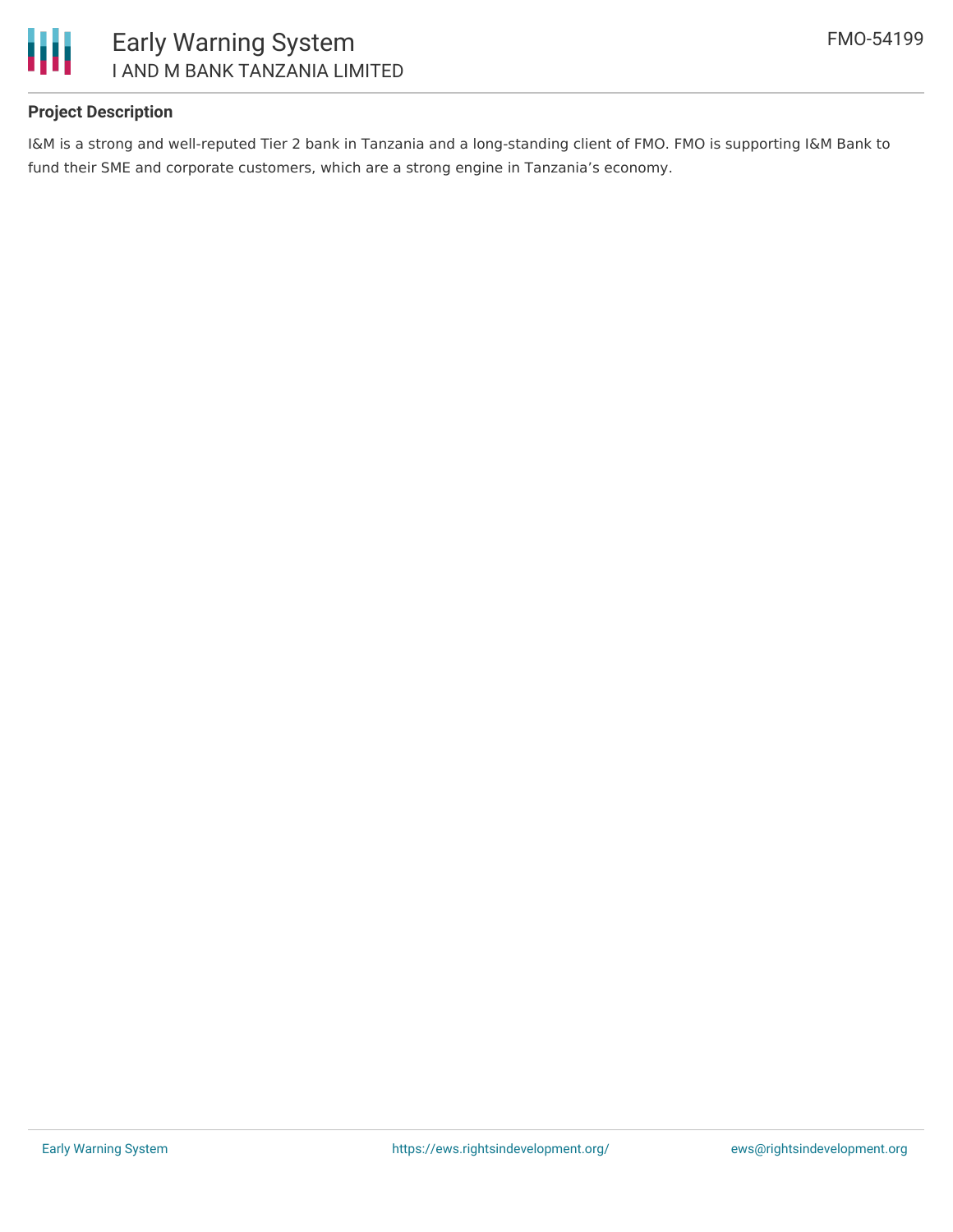

#### **Project Description**

I&M is a strong and well-reputed Tier 2 bank in Tanzania and a long-standing client of FMO. FMO is supporting I&M Bank to fund their SME and corporate customers, which are a strong engine in Tanzania's economy.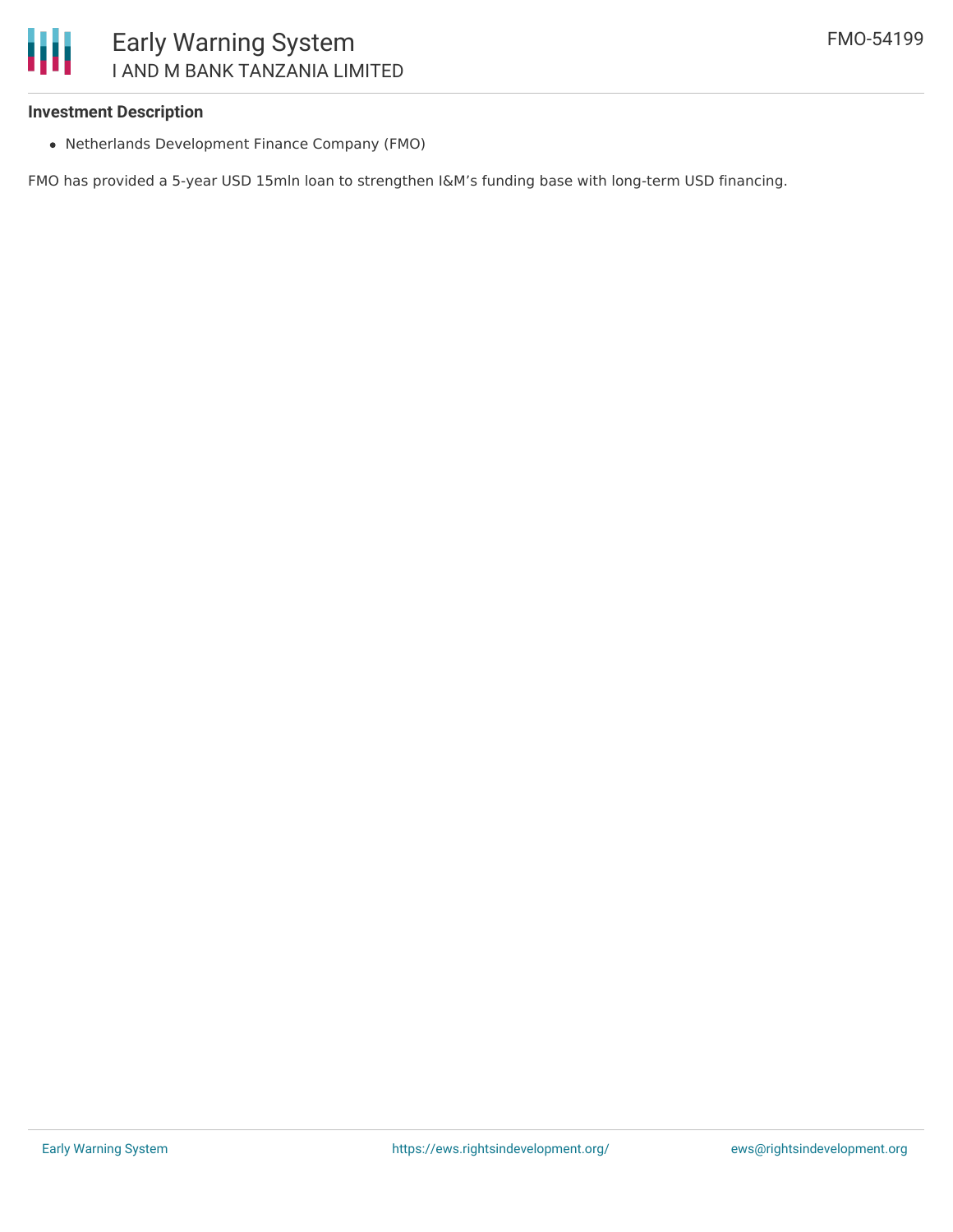#### **Investment Description**

Ш

Netherlands Development Finance Company (FMO)

FMO has provided a 5-year USD 15mln loan to strengthen I&M's funding base with long-term USD financing.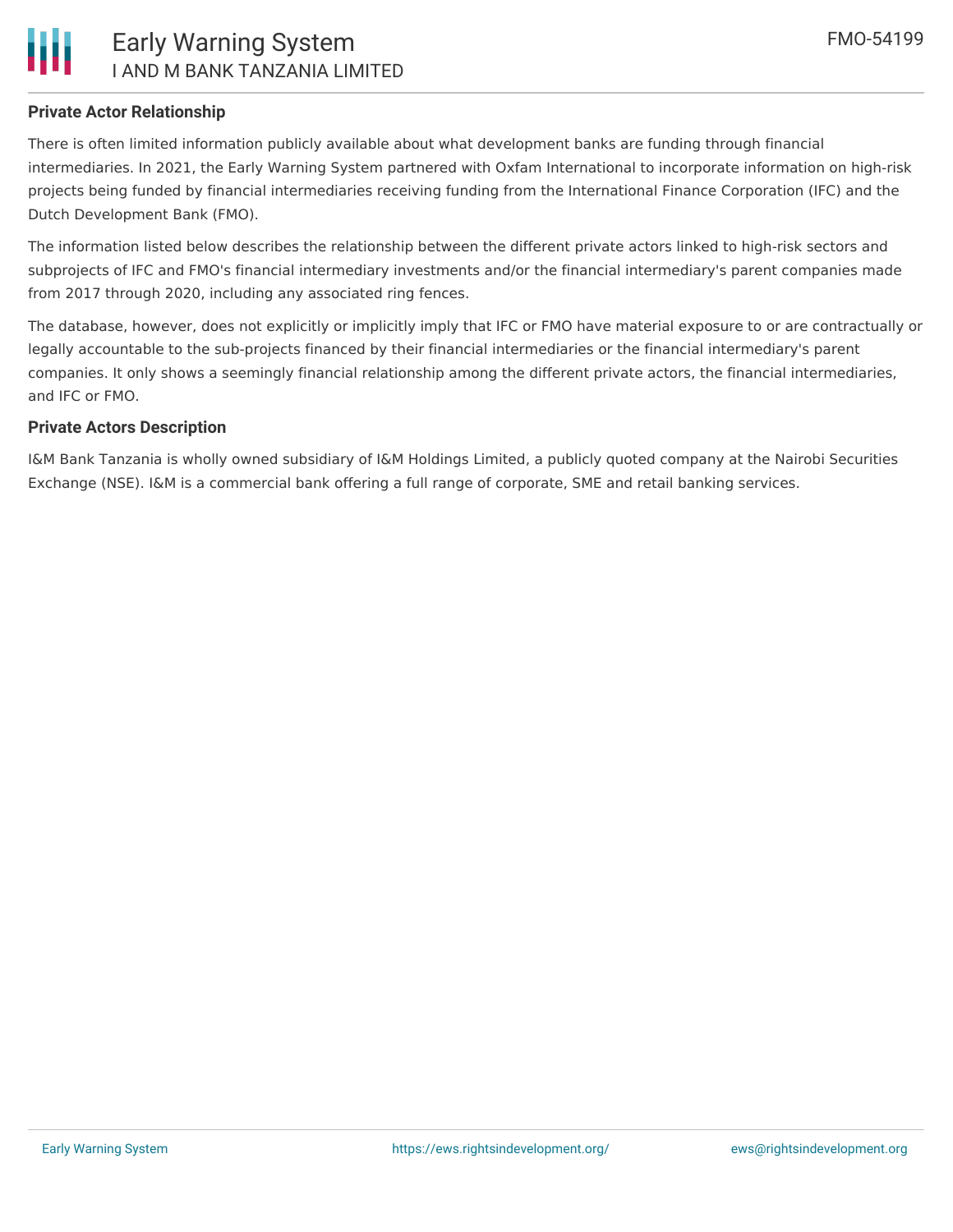

#### **Private Actor Relationship**

There is often limited information publicly available about what development banks are funding through financial intermediaries. In 2021, the Early Warning System partnered with Oxfam International to incorporate information on high-risk projects being funded by financial intermediaries receiving funding from the International Finance Corporation (IFC) and the Dutch Development Bank (FMO).

The information listed below describes the relationship between the different private actors linked to high-risk sectors and subprojects of IFC and FMO's financial intermediary investments and/or the financial intermediary's parent companies made from 2017 through 2020, including any associated ring fences.

The database, however, does not explicitly or implicitly imply that IFC or FMO have material exposure to or are contractually or legally accountable to the sub-projects financed by their financial intermediaries or the financial intermediary's parent companies. It only shows a seemingly financial relationship among the different private actors, the financial intermediaries, and IFC or FMO.

#### **Private Actors Description**

I&M Bank Tanzania is wholly owned subsidiary of I&M Holdings Limited, a publicly quoted company at the Nairobi Securities Exchange (NSE). I&M is a commercial bank offering a full range of corporate, SME and retail banking services.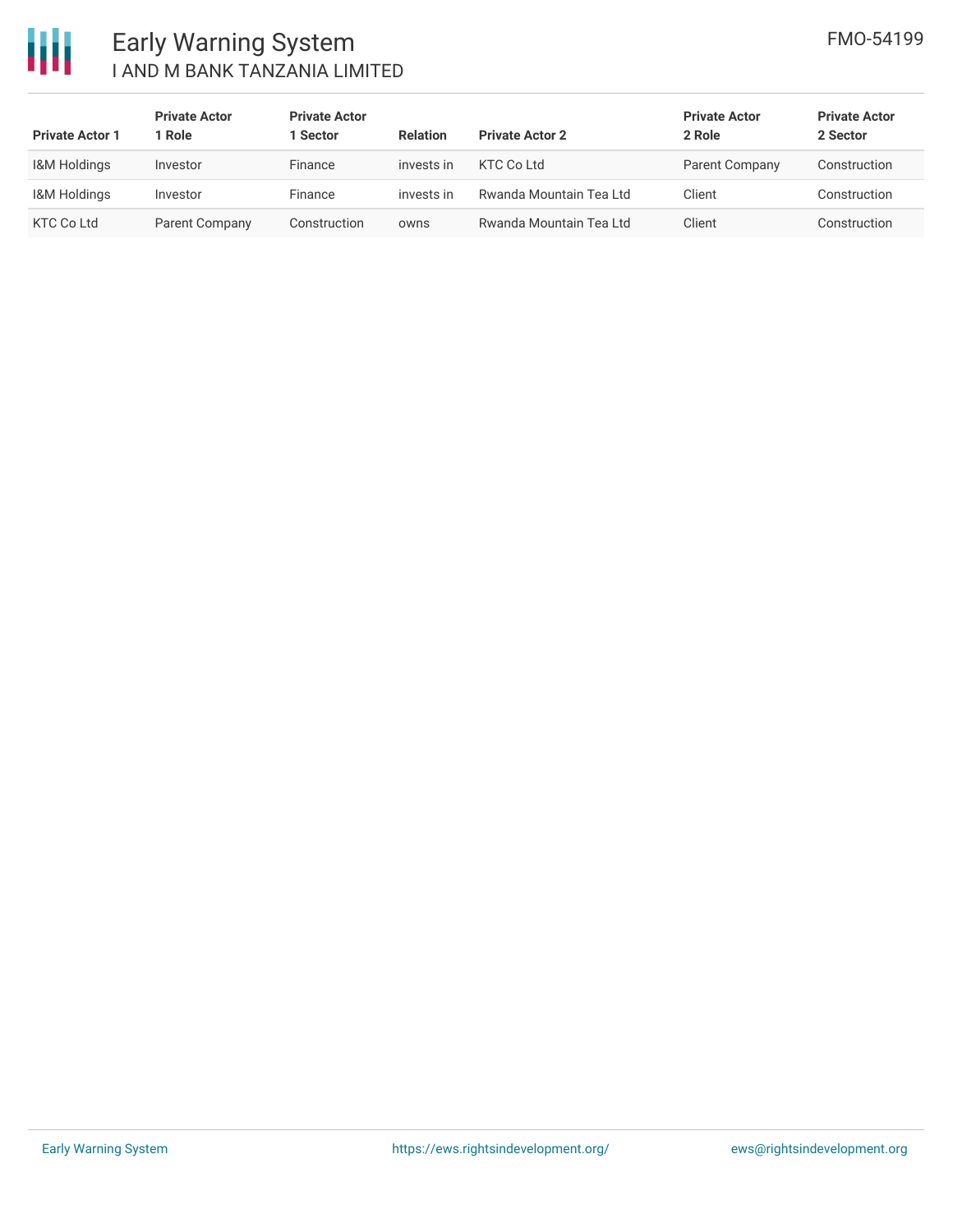

## Early Warning System I AND M BANK TANZANIA LIMITED

| <b>Private Actor 1</b>  | <b>Private Actor</b><br>Role | <b>Private Actor</b><br>1 Sector | <b>Relation</b> | <b>Private Actor 2</b>  | <b>Private Actor</b><br>2 Role | <b>Private Actor</b><br>2 Sector |
|-------------------------|------------------------------|----------------------------------|-----------------|-------------------------|--------------------------------|----------------------------------|
| <b>I&amp;M Holdings</b> | Investor                     | Finance                          | invests in      | KTC Co Ltd              | Parent Company                 | Construction                     |
| <b>I&amp;M Holdings</b> | Investor                     | Finance                          | invests in      | Rwanda Mountain Tea Ltd | Client                         | Construction                     |
| <b>KTC Co Ltd</b>       | Parent Company               | Construction                     | owns            | Rwanda Mountain Tea Ltd | Client                         | Construction                     |